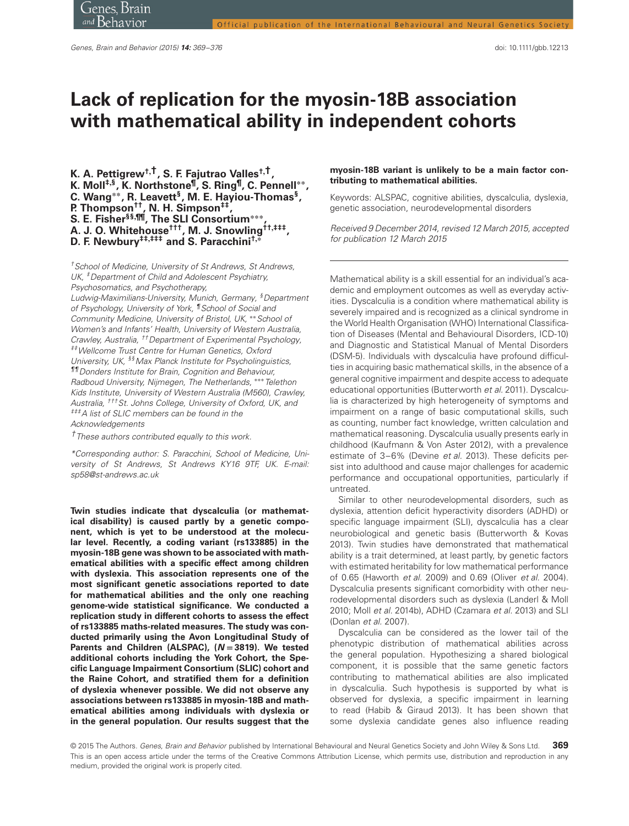# Genes, Brain and Behavior

# **Lack of replication for the myosin-18B association with mathematical ability in independent cohorts**

**K. A. Pettigrew†***,***†, S. F. Fajutrao Valles†***,***†, K. Moll‡***,***§, K. Northstone¶, S. Ring¶, C. Pennell∗∗, C. Wang∗∗, R. Leavett§, M. E. Hayiou-Thomas§, P. Thompson††, N. H. Simpson‡‡, S. E. Fisher§§***,***¶¶, The SLI Consortium∗∗∗, A. J. O. Whitehouse†††, M. J. Snowling††***,***‡‡‡, D. F. Newbury‡‡***,***‡‡‡ and S. Paracchini†***,***<sup>∗</sup>**

†School of Medicine, University of St Andrews, St Andrews, UK, <sup>‡</sup>Department of Child and Adolescent Psychiatry, Psychosomatics, and Psychotherapy, Ludwig-Maximilians-University, Munich, Germany, <sup>§</sup>Department of Psychology, University of York, ¶School of Social and Community Medicine, University of Bristol, UK, \*\* School of Women's and Infants' Health, University of Western Australia, Crawley, Australia, ††Department of Experimental Psychology, ‡‡Wellcome Trust Centre for Human Genetics, Oxford University, UK, <sup>§§</sup> Max Planck Institute for Psycholinguistics, ¶¶Donders Institute for Brain, Cognition and Behaviour, Radboud University, Nijmegen, The Netherlands, \*\*\* Telethon Kids Institute, University of Western Australia (M560), Crawley, Australia, <sup>†††</sup>St. Johns College, University of Oxford, UK, and ‡‡‡A list of SLIC members can be found in the Acknowledgements

 $<sup>*†*</sup>$  These authors contributed equally to this work.</sup>

\*Corresponding author: S. Paracchini, School of Medicine, University of St Andrews, St Andrews KY16 9TF, UK. E-mail: sp58@st-andrews.ac.uk

**Twin studies indicate that dyscalculia (or mathematical disability) is caused partly by a genetic component, which is yet to be understood at the molecular level. Recently, a coding variant (rs133885) in the myosin-18B gene was shown to be associated with mathematical abilities with a specific effect among children with dyslexia. This association represents one of the most significant genetic associations reported to date for mathematical abilities and the only one reaching genome-wide statistical significance. We conducted a replication study in different cohorts to assess the effect of rs133885 maths-related measures. The study was conducted primarily using the Avon Longitudinal Study of Parents and Children (ALSPAC), (***N* **= 3819). We tested additional cohorts including the York Cohort, the Specific Language Impairment Consortium (SLIC) cohort and the Raine Cohort, and stratified them for a definition of dyslexia whenever possible. We did not observe any associations between rs133885 in myosin-18B and mathematical abilities among individuals with dyslexia or in the general population. Our results suggest that the**

**myosin-18B variant is unlikely to be a main factor contributing to mathematical abilities.**

Keywords: ALSPAC, cognitive abilities, dyscalculia, dyslexia, genetic association, neurodevelopmental disorders

Received 9 December 2014, revised 12 March 2015, accepted for publication 12 March 2015

Mathematical ability is a skill essential for an individual's academic and employment outcomes as well as everyday activities. Dyscalculia is a condition where mathematical ability is severely impaired and is recognized as a clinical syndrome in the World Health Organisation (WHO) International Classification of Diseases (Mental and Behavioural Disorders, ICD-10) and Diagnostic and Statistical Manual of Mental Disorders (DSM-5). Individuals with dyscalculia have profound difficulties in acquiring basic mathematical skills, in the absence of a general cognitive impairment and despite access to adequate educational opportunities (Butterworth et al. 2011). Dyscalculia is characterized by high heterogeneity of symptoms and impairment on a range of basic computational skills, such as counting, number fact knowledge, written calculation and mathematical reasoning. Dyscalculia usually presents early in childhood (Kaufmann & Von Aster 2012), with a prevalence estimate of 3–6% (Devine et al. 2013). These deficits persist into adulthood and cause major challenges for academic performance and occupational opportunities, particularly if untreated.

Similar to other neurodevelopmental disorders, such as dyslexia, attention deficit hyperactivity disorders (ADHD) or specific language impairment (SLI), dyscalculia has a clear neurobiological and genetic basis (Butterworth & Kovas 2013). Twin studies have demonstrated that mathematical ability is a trait determined, at least partly, by genetic factors with estimated heritability for low mathematical performance of 0.65 (Haworth et al. 2009) and 0.69 (Oliver et al. 2004). Dyscalculia presents significant comorbidity with other neurodevelopmental disorders such as dyslexia (Landerl & Moll 2010; Moll et al. 2014b), ADHD (Czamara et al. 2013) and SLI (Donlan et al. 2007).

Dyscalculia can be considered as the lower tail of the phenotypic distribution of mathematical abilities across the general population. Hypothesizing a shared biological component, it is possible that the same genetic factors contributing to mathematical abilities are also implicated in dyscalculia. Such hypothesis is supported by what is observed for dyslexia, a specific impairment in learning to read (Habib & Giraud 2013). It has been shown that some dyslexia candidate genes also influence reading

© 2015 The Authors. Genes, Brain and Behavior published by International Behavioural and Neural Genetics Society and John Wiley & Sons Ltd. **369** This is an open access article under the terms of the Creative Commons Attribution License, which permits use, distribution and reproduction in any medium, provided the original work is properly cited.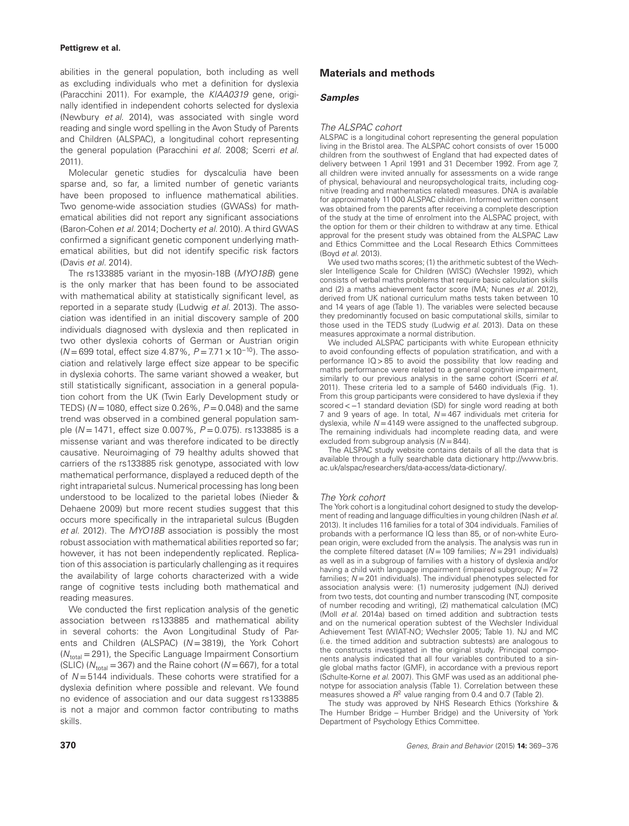abilities in the general population, both including as well as excluding individuals who met a definition for dyslexia (Paracchini 2011). For example, the KIAA0319 gene, originally identified in independent cohorts selected for dyslexia (Newbury et al. 2014), was associated with single word reading and single word spelling in the Avon Study of Parents and Children (ALSPAC), a longitudinal cohort representing the general population (Paracchini et al. 2008; Scerri et al. 2011).

Molecular genetic studies for dyscalculia have been sparse and, so far, a limited number of genetic variants have been proposed to influence mathematical abilities. Two genome-wide association studies (GWASs) for mathematical abilities did not report any significant associations (Baron-Cohen et al. 2014; Docherty et al. 2010). A third GWAS confirmed a significant genetic component underlying mathematical abilities, but did not identify specific risk factors (Davis et al. 2014).

The rs133885 variant in the myosin-18B (MYO18B) gene is the only marker that has been found to be associated with mathematical ability at statistically significant level, as reported in a separate study (Ludwig et al. 2013). The association was identified in an initial discovery sample of 200 individuals diagnosed with dyslexia and then replicated in two other dyslexia cohorts of German or Austrian origin  $(N = 699$  total, effect size 4.87%,  $P = 7.71 \times 10^{-10}$ ). The association and relatively large effect size appear to be specific in dyslexia cohorts. The same variant showed a weaker, but still statistically significant, association in a general population cohort from the UK (Twin Early Development study or TEDS) ( $N = 1080$ , effect size 0.26%,  $P = 0.048$ ) and the same trend was observed in a combined general population sample  $(N = 1471$ , effect size 0.007%,  $P = 0.075$ ). rs133885 is a missense variant and was therefore indicated to be directly causative. Neuroimaging of 79 healthy adults showed that carriers of the rs133885 risk genotype, associated with low mathematical performance, displayed a reduced depth of the right intraparietal sulcus. Numerical processing has long been understood to be localized to the parietal lobes (Nieder & Dehaene 2009) but more recent studies suggest that this occurs more specifically in the intraparietal sulcus (Bugden et al. 2012). The MYO18B association is possibly the most robust association with mathematical abilities reported so far; however, it has not been independently replicated. Replication of this association is particularly challenging as it requires the availability of large cohorts characterized with a wide range of cognitive tests including both mathematical and reading measures.

We conducted the first replication analysis of the genetic association between rs133885 and mathematical ability in several cohorts: the Avon Longitudinal Study of Parents and Children (ALSPAC) ( $N = 3819$ ), the York Cohort  $(N_{total} = 291)$ , the Specific Language Impairment Consortium (SLIC) ( $N_{\text{total}}$  = 367) and the Raine cohort ( $N$  = 667), for a total of  $N = 5144$  individuals. These cohorts were stratified for a dyslexia definition where possible and relevant. We found no evidence of association and our data suggest rs133885 is not a major and common factor contributing to maths skills.

## **Materials and methods**

#### *Samples*

#### The ALSPAC cohort

ALSPAC is a longitudinal cohort representing the general population living in the Bristol area. The ALSPAC cohort consists of over 15 000 children from the southwest of England that had expected dates of delivery between 1 April 1991 and 31 December 1992. From age 7, all children were invited annually for assessments on a wide range of physical, behavioural and neuropsychological traits, including cognitive (reading and mathematics related) measures. DNA is available for approximately 11 000 ALSPAC children. Informed written consent was obtained from the parents after receiving a complete description of the study at the time of enrolment into the ALSPAC project, with the option for them or their children to withdraw at any time. Ethical approval for the present study was obtained from the ALSPAC Law and Ethics Committee and the Local Research Ethics Committees (Boyd et al. 2013).

We used two maths scores; (1) the arithmetic subtest of the Wechsler Intelligence Scale for Children (WISC) (Wechsler 1992), which consists of verbal maths problems that require basic calculation skills and (2) a maths achievement factor score (MA; Nunes et al. 2012), derived from UK national curriculum maths tests taken between 10 and 14 years of age (Table 1). The variables were selected because they predominantly focused on basic computational skills, similar to those used in the TEDS study (Ludwig et al. 2013). Data on these measures approximate a normal distribution.

We included ALSPAC participants with white European ethnicity to avoid confounding effects of population stratification, and with a performance IQ *>*85 to avoid the possibility that low reading and maths performance were related to a general cognitive impairment, similarly to our previous analysis in the same cohort (Scerri et al. 2011). These criteria led to a sample of 5460 individuals (Fig. 1). From this group participants were considered to have dyslexia if they scored*<*−1 standard deviation (SD) for single word reading at both 7 and 9 years of age. In total,  $N = 467$  individuals met criteria for dyslexia, while  $N = 4149$  were assigned to the unaffected subgroup. The remaining individuals had incomplete reading data, and were excluded from subgroup analysis  $(N = 844)$ .

The ALSPAC study website contains details of all the data that is available through a fully searchable data dictionary http://www.bris. ac.uk/alspac/researchers/data-access/data-dictionary/.

#### The York cohort

The York cohort is a longitudinal cohort designed to study the development of reading and language difficulties in young children (Nash et al. 2013). It includes 116 families for a total of 304 individuals. Families of probands with a performance IQ less than 85, or of non-white European origin, were excluded from the analysis. The analysis was run in the complete filtered dataset ( $N = 109$  families;  $N = 291$  individuals) as well as in a subgroup of families with a history of dyslexia and/or having a child with language impairment (impaired subgroup;  $N = 72$ families;  $N = 201$  individuals). The individual phenotypes selected for association analysis were: (1) numerosity judgement (NJ) derived from two tests, dot counting and number transcoding (NT, composite of number recoding and writing), (2) mathematical calculation (MC) (Moll et al. 2014a) based on timed addition and subtraction tests and on the numerical operation subtest of the Wechsler Individual Achievement Test (WIAT-NO; Wechsler 2005; Table 1). NJ and MC (i.e. the timed addition and subtraction subtests) are analogous to the constructs investigated in the original study. Principal components analysis indicated that all four variables contributed to a single global maths factor (GMF), in accordance with a previous report (Schulte-Korne et al. 2007). This GMF was used as an additional phenotype for association analysis (Table 1). Correlation between these measures showed a  $R^2$  value ranging from 0.4 and 0.7 (Table 2).

The study was approved by NHS Research Ethics (Yorkshire & The Humber Bridge – Humber Bridge) and the University of York Department of Psychology Ethics Committee.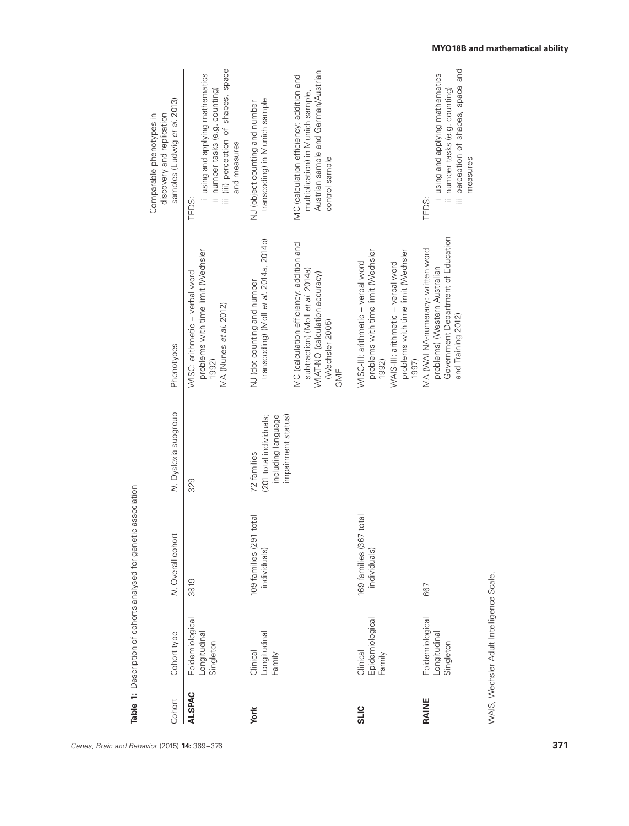| Cohort      | Cohort type                                  | N, Overall cohort                           | N, Dyslexia subgroup                                                               | Phenotypes                                                                                                                               | samples (Ludwig et al. 2013)<br>discovery and replication<br>Comparable phenotypes in                                                  |
|-------------|----------------------------------------------|---------------------------------------------|------------------------------------------------------------------------------------|------------------------------------------------------------------------------------------------------------------------------------------|----------------------------------------------------------------------------------------------------------------------------------------|
| ALSPAC      | Epidemiological<br>Longitudinal<br>Singleton | 3819                                        | 329                                                                                | problems with time limit (Wechsler<br>WISC: arithmetic - verbal word<br>MA (Nunes et al. 2012)<br>1992)                                  | iii (iii) perception of shapes, space<br>i using and applying mathematics<br>ii number tasks (e.g. counting)<br>and measures<br>TEDS:  |
| York        | Longitudinal<br>Clinical<br>Family           | 1 total<br>109 families (29<br>individuals) | impairment status)<br>(201 total individuals;<br>including language<br>72 families | transcoding) (Moll et al. 2014a, 2014b)<br>NJ (dot counting and number                                                                   | transcoding) in Munich sample<br>NJ (object counting and number                                                                        |
|             |                                              |                                             |                                                                                    | MC (calculation efficiency: addition and<br>subtraction) (Moll et al. 2014a)<br>WIAT-NO (calculation accuracy)<br>(Wechsler 2005)<br>GMF | Austrian sample and German/Austrian<br>MC (calculation efficiency: addition and<br>multiplication) in Munich sample,<br>control sample |
| <b>SLIC</b> | Epidemiological<br>Clinical<br>Family        | 169 families (367 total<br>individuals)     |                                                                                    | problems with time limit (Wechsler<br>WISC-III: arithmetic - verbal word<br>WAIS-III: arithmetic - verbal word<br>1992)                  |                                                                                                                                        |
|             |                                              |                                             |                                                                                    | problems with time limit (Wechsler<br>1997)                                                                                              |                                                                                                                                        |
| RAINE       | Epidemiological<br>Longitudinal<br>Singleton | 667                                         |                                                                                    | Government Department of Education<br>MA (WALNA-numeracy: written word<br>problems) (Western Australian<br>and Training 2012)            | iii perception of shapes, space and<br>i using and applying mathematics<br>ii number tasks (e.g. counting)<br>measures<br>TEDS:        |
|             |                                              |                                             |                                                                                    |                                                                                                                                          |                                                                                                                                        |
|             | WAIS, Wechsler Adult Intelligence Scale.     |                                             |                                                                                    |                                                                                                                                          |                                                                                                                                        |

Table 1: Description of cohorts analysed for genetic association **Table 1:** Description of cohorts analysed for genetic association

Genes, Brain and Behavior (2015) **14:** 369–376 **371**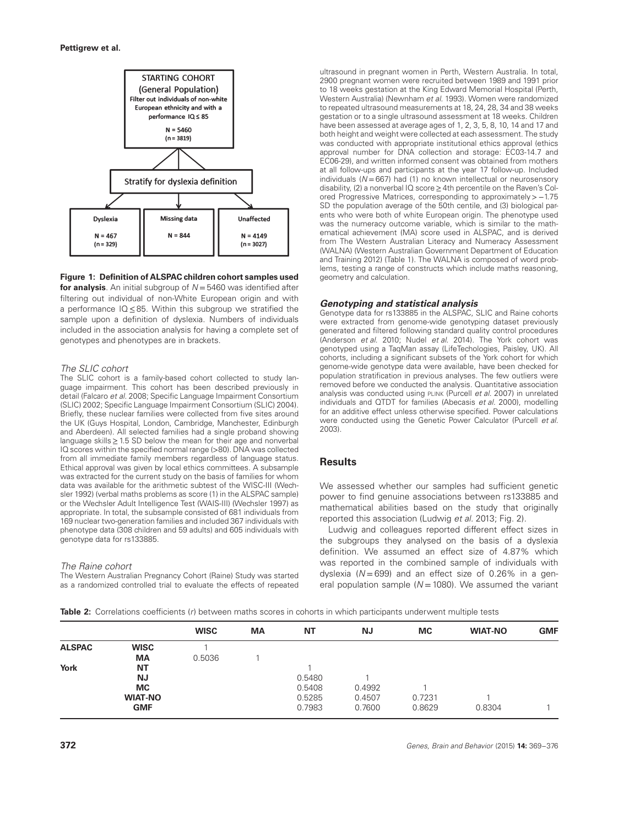

**Figure 1: Definition of ALSPAC children cohort samples used for analysis**. An initial subgroup of  $N = 5460$  was identified after filtering out individual of non-White European origin and with a performance IQ ≤85. Within this subgroup we stratified the sample upon a definition of dyslexia. Numbers of individuals included in the association analysis for having a complete set of genotypes and phenotypes are in brackets.

#### The SLIC cohort

The SLIC cohort is a family-based cohort collected to study language impairment. This cohort has been described previously in detail (Falcaro et al. 2008; Specific Language Impairment Consortium (SLIC) 2002; Specific Language Impairment Consortium (SLIC) 2004). Briefly, these nuclear families were collected from five sites around the UK (Guys Hospital, London, Cambridge, Manchester, Edinburgh and Aberdeen). All selected families had a single proband showing language skills≥1.5 SD below the mean for their age and nonverbal IQ scores within the specified normal range (*>*80). DNA was collected from all immediate family members regardless of language status. Ethical approval was given by local ethics committees. A subsample was extracted for the current study on the basis of families for whom data was available for the arithmetic subtest of the WISC-III (Wechsler 1992) (verbal maths problems as score (1) in the ALSPAC sample) or the Wechsler Adult Intelligence Test (WAIS-III) (Wechsler 1997) as appropriate. In total, the subsample consisted of 681 individuals from 169 nuclear two-generation families and included 367 individuals with phenotype data (308 children and 59 adults) and 605 individuals with genotype data for rs133885.

#### The Raine cohort

The Western Australian Pregnancy Cohort (Raine) Study was started as a randomized controlled trial to evaluate the effects of repeated ultrasound in pregnant women in Perth, Western Australia. In total, 2900 pregnant women were recruited between 1989 and 1991 prior to 18 weeks gestation at the King Edward Memorial Hospital (Perth, Western Australia) (Newnham et al. 1993). Women were randomized to repeated ultrasound measurements at 18, 24, 28, 34 and 38 weeks gestation or to a single ultrasound assessment at 18 weeks. Children have been assessed at average ages of 1, 2, 3, 5, 8, 10, 14 and 17 and both height and weight were collected at each assessment. The study was conducted with appropriate institutional ethics approval (ethics approval number for DNA collection and storage: EC03-14.7 and EC06-29), and written informed consent was obtained from mothers at all follow-ups and participants at the year 17 follow-up. Included individuals ( $N = 667$ ) had (1) no known intellectual or neurosensory disability, (2) a nonverbal IQ score≥4th percentile on the Raven's Colored Progressive Matrices, corresponding to approximately*>*−1.75 SD the population average of the 50th centile, and (3) biological parents who were both of white European origin. The phenotype used was the numeracy outcome variable, which is similar to the mathematical achievement (MA) score used in ALSPAC, and is derived from The Western Australian Literacy and Numeracy Assessment (WALNA) (Western Australian Government Department of Education and Training 2012) (Table 1). The WALNA is composed of word problems, testing a range of constructs which include maths reasoning, geometry and calculation.

#### *Genotyping and statistical analysis*

Genotype data for rs133885 in the ALSPAC, SLIC and Raine cohorts were extracted from genome-wide genotyping dataset previously generated and filtered following standard quality control procedures (Anderson et al. 2010; Nudel et al. 2014). The York cohort was genotyped using a TaqMan assay (LifeTechologies, Paisley, UK). All cohorts, including a significant subsets of the York cohort for which genome-wide genotype data were available, have been checked for population stratification in previous analyses. The few outliers were removed before we conducted the analysis. Quantitative association analysis was conducted using PLINK (Purcell et al. 2007) in unrelated individuals and QTDT for families (Abecasis et al. 2000), modelling for an additive effect unless otherwise specified. Power calculations were conducted using the Genetic Power Calculator (Purcell et al. 2003).

# **Results**

We assessed whether our samples had sufficient genetic power to find genuine associations between rs133885 and mathematical abilities based on the study that originally reported this association (Ludwig et al. 2013; Fig. 2).

Ludwig and colleagues reported different effect sizes in the subgroups they analysed on the basis of a dyslexia definition. We assumed an effect size of 4.87% which was reported in the combined sample of individuals with dyslexia ( $N = 699$ ) and an effect size of 0.26% in a general population sample ( $N = 1080$ ). We assumed the variant

|  |  |  |  |  |  |  |  | Table 2: Correlations coefficients (r) between maths scores in cohorts in which participants underwent multiple tests |  |
|--|--|--|--|--|--|--|--|-----------------------------------------------------------------------------------------------------------------------|--|
|--|--|--|--|--|--|--|--|-----------------------------------------------------------------------------------------------------------------------|--|

|                | <b>WISC</b> | <b>MA</b> | NΤ     | <b>NJ</b> | <b>MC</b> | <b>WIAT-NO</b> | <b>GMF</b> |
|----------------|-------------|-----------|--------|-----------|-----------|----------------|------------|
| <b>WISC</b>    |             |           |        |           |           |                |            |
| <b>MA</b>      | 0.5036      |           |        |           |           |                |            |
| NΤ             |             |           |        |           |           |                |            |
|                |             |           | 0.5480 |           |           |                |            |
| <b>MC</b>      |             |           | 0.5408 | 0.4992    |           |                |            |
| <b>WIAT-NO</b> |             |           | 0.5285 | 0.4507    | 0.7231    |                |            |
| <b>GMF</b>     |             |           | 0.7983 | 0.7600    | 0.8629    | 0.8304         |            |
|                | ΝJ          |           |        |           |           |                |            |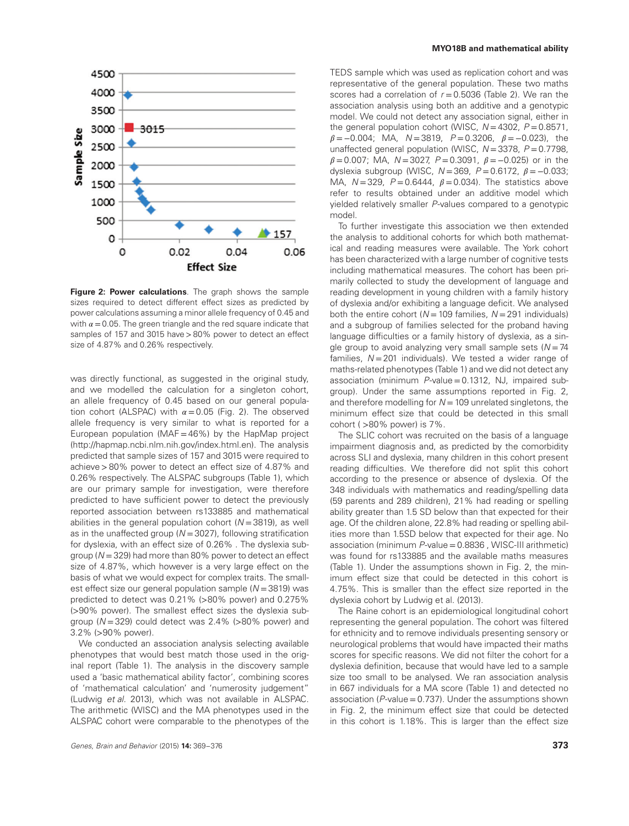

**Figure 2: Power calculations**. The graph shows the sample sizes required to detect different effect sizes as predicted by power calculations assuming a minor allele frequency of 0.45 and with  $\alpha = 0.05$ . The green triangle and the red square indicate that samples of 157 and 3015 have*>*80% power to detect an effect size of 4.87% and 0.26% respectively.

was directly functional, as suggested in the original study, and we modelled the calculation for a singleton cohort, an allele frequency of 0.45 based on our general population cohort (ALSPAC) with  $\alpha = 0.05$  (Fig. 2). The observed allele frequency is very similar to what is reported for a European population (MAF=46%) by the HapMap project (http://hapmap.ncbi.nlm.nih.gov/index.html.en). The analysis predicted that sample sizes of 157 and 3015 were required to achieve*>*80% power to detect an effect size of 4.87% and 0.26% respectively. The ALSPAC subgroups (Table 1), which are our primary sample for investigation, were therefore predicted to have sufficient power to detect the previously reported association between rs133885 and mathematical abilities in the general population cohort ( $N = 3819$ ), as well as in the unaffected group ( $N = 3027$ ), following stratification for dyslexia, with an effect size of 0.26% . The dyslexia subgroup ( $N = 329$ ) had more than 80% power to detect an effect size of 4.87%, which however is a very large effect on the basis of what we would expect for complex traits. The smallest effect size our general population sample  $(N = 3819)$  was predicted to detect was 0.21% (*>*80% power) and 0.275% (*>*90% power). The smallest effect sizes the dyslexia subgroup (N =329) could detect was 2.4% (*>*80% power) and 3.2% (*>*90% power).

We conducted an association analysis selecting available phenotypes that would best match those used in the original report (Table 1). The analysis in the discovery sample used a 'basic mathematical ability factor', combining scores of 'mathematical calculation' and 'numerosity judgement" (Ludwig et al. 2013), which was not available in ALSPAC. The arithmetic (WISC) and the MA phenotypes used in the ALSPAC cohort were comparable to the phenotypes of the

#### **MYO18B and mathematical ability**

TEDS sample which was used as replication cohort and was representative of the general population. These two maths scores had a correlation of  $r = 0.5036$  (Table 2). We ran the association analysis using both an additive and a genotypic model. We could not detect any association signal, either in the general population cohort (WISC,  $N = 4302$ ,  $P = 0.8571$ ,  $\beta = -0.004$ ; MA, N = 3819, P = 0.3206,  $\beta = -0.023$ ), the unaffected general population (WISC,  $N = 3378$ ,  $P = 0.7798$ ,  $\beta$  = 0.007; MA, N = 3027, P = 0.3091,  $\beta$  = -0.025) or in the dyslexia subgroup (WISC,  $N = 369$ ,  $P = 0.6172$ ,  $\beta = -0.033$ ; MA,  $N = 329$ ,  $P = 0.6444$ ,  $\beta = 0.034$ ). The statistics above refer to results obtained under an additive model which yielded relatively smaller P-values compared to a genotypic model.

To further investigate this association we then extended the analysis to additional cohorts for which both mathematical and reading measures were available. The York cohort has been characterized with a large number of cognitive tests including mathematical measures. The cohort has been primarily collected to study the development of language and reading development in young children with a family history of dyslexia and/or exhibiting a language deficit. We analysed both the entire cohort ( $N = 109$  families,  $N = 291$  individuals) and a subgroup of families selected for the proband having language difficulties or a family history of dyslexia, as a single group to avoid analyzing very small sample sets  $(N = 74)$ families,  $N = 201$  individuals). We tested a wider range of maths-related phenotypes (Table 1) and we did not detect any association (minimum  $P$ -value = 0.1312, NJ, impaired subgroup). Under the same assumptions reported in Fig. 2, and therefore modelling for  $N = 109$  unrelated singletons, the minimum effect size that could be detected in this small cohort ( *>*80% power) is 7%.

The SLIC cohort was recruited on the basis of a language impairment diagnosis and, as predicted by the comorbidity across SLI and dyslexia, many children in this cohort present reading difficulties. We therefore did not split this cohort according to the presence or absence of dyslexia. Of the 348 individuals with mathematics and reading/spelling data (59 parents and 289 children), 21% had reading or spelling ability greater than 1.5 SD below than that expected for their age. Of the children alone, 22.8% had reading or spelling abilities more than 1.5SD below that expected for their age. No association (minimum P-value=0.8836 , WISC-III arithmetic) was found for rs133885 and the available maths measures (Table 1). Under the assumptions shown in Fig. 2, the minimum effect size that could be detected in this cohort is 4.75%. This is smaller than the effect size reported in the dyslexia cohort by Ludwig et al. (2013).

The Raine cohort is an epidemiological longitudinal cohort representing the general population. The cohort was filtered for ethnicity and to remove individuals presenting sensory or neurological problems that would have impacted their maths scores for specific reasons. We did not filter the cohort for a dyslexia definition, because that would have led to a sample size too small to be analysed. We ran association analysis in 667 individuals for a MA score (Table 1) and detected no association ( $P$ -value = 0.737). Under the assumptions shown in Fig. 2, the minimum effect size that could be detected in this cohort is 1.18%. This is larger than the effect size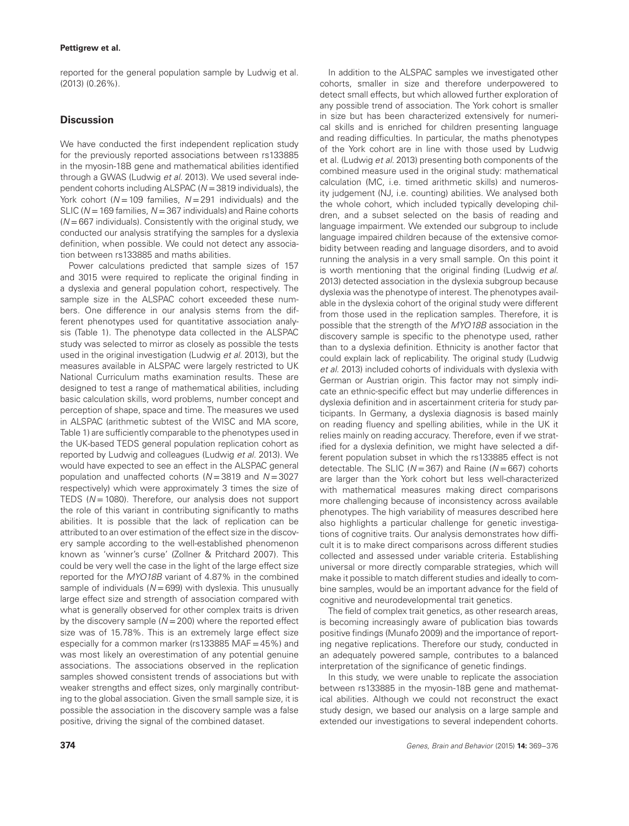reported for the general population sample by Ludwig et al. (2013) (0.26%).

# **Discussion**

We have conducted the first independent replication study for the previously reported associations between rs133885 in the myosin-18B gene and mathematical abilities identified through a GWAS (Ludwig et al. 2013). We used several independent cohorts including ALSPAC ( $N = 3819$  individuals), the York cohort ( $N = 109$  families,  $N = 291$  individuals) and the SLIC ( $N = 169$  families,  $N = 367$  individuals) and Raine cohorts  $(N = 667$  individuals). Consistently with the original study, we conducted our analysis stratifying the samples for a dyslexia definition, when possible. We could not detect any association between rs133885 and maths abilities.

Power calculations predicted that sample sizes of 157 and 3015 were required to replicate the original finding in a dyslexia and general population cohort, respectively. The sample size in the ALSPAC cohort exceeded these numbers. One difference in our analysis stems from the different phenotypes used for quantitative association analysis (Table 1). The phenotype data collected in the ALSPAC study was selected to mirror as closely as possible the tests used in the original investigation (Ludwig et al. 2013), but the measures available in ALSPAC were largely restricted to UK National Curriculum maths examination results. These are designed to test a range of mathematical abilities, including basic calculation skills, word problems, number concept and perception of shape, space and time. The measures we used in ALSPAC (arithmetic subtest of the WISC and MA score, Table 1) are sufficiently comparable to the phenotypes used in the UK-based TEDS general population replication cohort as reported by Ludwig and colleagues (Ludwig et al. 2013). We would have expected to see an effect in the ALSPAC general population and unaffected cohorts ( $N = 3819$  and  $N = 3027$ respectively) which were approximately 3 times the size of TEDS ( $N = 1080$ ). Therefore, our analysis does not support the role of this variant in contributing significantly to maths abilities. It is possible that the lack of replication can be attributed to an over estimation of the effect size in the discovery sample according to the well-established phenomenon known as 'winner's curse' (Zollner & Pritchard 2007). This could be very well the case in the light of the large effect size reported for the MYO18B variant of 4.87% in the combined sample of individuals ( $N = 699$ ) with dyslexia. This unusually large effect size and strength of association compared with what is generally observed for other complex traits is driven by the discovery sample  $(N = 200)$  where the reported effect size was of 15.78%. This is an extremely large effect size especially for a common marker (rs133885 MAF=45%) and was most likely an overestimation of any potential genuine associations. The associations observed in the replication samples showed consistent trends of associations but with weaker strengths and effect sizes, only marginally contributing to the global association. Given the small sample size, it is possible the association in the discovery sample was a false positive, driving the signal of the combined dataset.

between rs133885 in the myosin-18B gene and mathematical abilities. Although we could not reconstruct the exact study design, we based our analysis on a large sample and extended our investigations to several independent cohorts.

cal skills and is enriched for children presenting language and reading difficulties. In particular, the maths phenotypes of the York cohort are in line with those used by Ludwig et al. (Ludwig et al. 2013) presenting both components of the combined measure used in the original study: mathematical calculation (MC, i.e. timed arithmetic skills) and numerosity judgement (NJ, i.e. counting) abilities. We analysed both the whole cohort, which included typically developing children, and a subset selected on the basis of reading and language impairment. We extended our subgroup to include language impaired children because of the extensive comorbidity between reading and language disorders, and to avoid running the analysis in a very small sample. On this point it is worth mentioning that the original finding (Ludwig et al. 2013) detected association in the dyslexia subgroup because dyslexia was the phenotype of interest. The phenotypes available in the dyslexia cohort of the original study were different from those used in the replication samples. Therefore, it is possible that the strength of the MYO18B association in the discovery sample is specific to the phenotype used, rather than to a dyslexia definition. Ethnicity is another factor that could explain lack of replicability. The original study (Ludwig et al. 2013) included cohorts of individuals with dyslexia with German or Austrian origin. This factor may not simply indicate an ethnic-specific effect but may underlie differences in dyslexia definition and in ascertainment criteria for study participants. In Germany, a dyslexia diagnosis is based mainly on reading fluency and spelling abilities, while in the UK it relies mainly on reading accuracy. Therefore, even if we stratified for a dyslexia definition, we might have selected a different population subset in which the rs133885 effect is not detectable. The SLIC ( $N = 367$ ) and Raine ( $N = 667$ ) cohorts are larger than the York cohort but less well-characterized with mathematical measures making direct comparisons more challenging because of inconsistency across available phenotypes. The high variability of measures described here also highlights a particular challenge for genetic investigations of cognitive traits. Our analysis demonstrates how difficult it is to make direct comparisons across different studies

In addition to the ALSPAC samples we investigated other cohorts, smaller in size and therefore underpowered to detect small effects, but which allowed further exploration of any possible trend of association. The York cohort is smaller in size but has been characterized extensively for numeri-

universal or more directly comparable strategies, which will make it possible to match different studies and ideally to combine samples, would be an important advance for the field of cognitive and neurodevelopmental trait genetics. The field of complex trait genetics, as other research areas, is becoming increasingly aware of publication bias towards positive findings (Munafo 2009) and the importance of reporting negative replications. Therefore our study, conducted in

an adequately powered sample, contributes to a balanced interpretation of the significance of genetic findings.

In this study, we were unable to replicate the association

collected and assessed under variable criteria. Establishing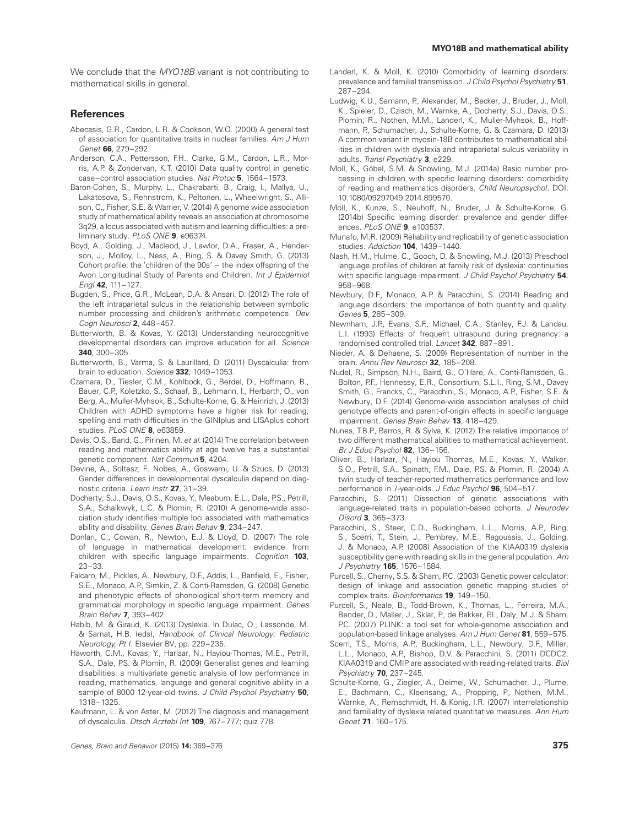We conclude that the *MYO18B* variant is not contributing to mathematical skills in general.

### **References**

- Abecasis, G.R., Cardon, L.R. & Cookson, W.O. (2000) A general test of association for quantitative traits in nuclear families. Am J Hum Genet **66**, 279–292.
- Anderson, C.A., Pettersson, F.H., Clarke, G.M., Cardon, L.R., Morris, A.P. & Zondervan, K.T. (2010) Data quality control in genetic case–control association studies. Nat Protoc **5**, 1564–1573.
- Baron-Cohen, S., Murphy, L., Chakrabarti, B., Craig, I., Mallya, U., Lakatosova, S., Rehnstrom, K., Peltonen, L., Wheelwright, S., Allison, C., Fisher, S.E. & Warrier, V. (2014) A genome wide association study of mathematical ability reveals an association at chromosome 3q29, a locus associated with autism and learning difficulties: a preliminary study. PLoS ONE **9**, e96374.
- Boyd, A., Golding, J., Macleod, J., Lawlor, D.A., Fraser, A., Henderson, J., Molloy, L., Ness, A., Ring, S. & Davey Smith, G. (2013) Cohort profile: the 'children of the 90s' – the index offspring of the Avon Longitudinal Study of Parents and Children. Int J Epidemiol Engl **42**, 111–127.
- Bugden, S., Price, G.R., McLean, D.A. & Ansari, D. (2012) The role of the left intraparietal sulcus in the relationship between symbolic number processing and children's arithmetic competence. Dev Cogn Neurosci **2**, 448–457.
- Butterworth, B. & Kovas, Y. (2013) Understanding neurocognitive developmental disorders can improve education for all. Science **340**, 300–305.
- Butterworth, B., Varma, S. & Laurillard, D. (2011) Dyscalculia: from brain to education. Science **332**, 1049–1053.
- Czamara, D., Tiesler, C.M., Kohlbock, G., Berdel, D., Hoffmann, B., Bauer, C.P., Koletzko, S., Schaaf, B., Lehmann, I., Herbarth, O., von Berg, A., Muller-Myhsok, B., Schulte-Korne, G. & Heinrich, J. (2013) Children with ADHD symptoms have a higher risk for reading, spelling and math difficulties in the GINIplus and LISAplus cohort studies. PLoS ONE **8**, e63859.
- Davis, O.S., Band, G., Pirinen, M. et al. (2014) The correlation between reading and mathematics ability at age twelve has a substantial genetic component. Nat Commun **5**, 4204.
- Devine, A., Soltesz, F., Nobes, A., Goswami, U. & Szucs, D. (2013) Gender differences in developmental dyscalculia depend on diagnostic criteria. Learn Instr **27**, 31–39.
- Docherty, S.J., Davis, O.S., Kovas, Y., Meaburn, E.L., Dale, P.S., Petrill, S.A., Schalkwyk, L.C. & Plomin, R. (2010) A genome-wide association study identifies multiple loci associated with mathematics ability and disability. Genes Brain Behav **9**, 234–247.
- Donlan, C., Cowan, R., Newton, E.J. & Lloyd, D. (2007) The role of language in mathematical development: evidence from children with specific language impairments. Cognition **103**, 23–33.
- Falcaro, M., Pickles, A., Newbury, D.F., Addis, L., Banfield, E., Fisher, S.E., Monaco, A.P., Simkin, Z. & Conti-Ramsden, G. (2008) Genetic and phenotypic effects of phonological short-term memory and grammatical morphology in specific language impairment. Genes Brain Behav **7**, 393–402.
- Habib, M. & Giraud, K. (2013) Dyslexia. In Dulac, O., Lassonde, M. & Sarnat, H.B. (eds), Handbook of Clinical Neurology: Pediatric Neurology, Pt I. Elsevier BV, pp. 229–235.
- Haworth, C.M., Kovas, Y., Harlaar, N., Hayiou-Thomas, M.E., Petrill, S.A., Dale, P.S. & Plomin, R. (2009) Generalist genes and learning disabilities: a multivariate genetic analysis of low performance in reading, mathematics, language and general cognitive ability in a sample of 8000 12-year-old twins. J Child Psychol Psychiatry **50**, 1318–1325.
- Kaufmann, L. & von Aster, M. (2012) The diagnosis and management of dyscalculia. Dtsch Arztebl Int **109**, 767–777; quiz 778.
- Landerl, K. & Moll, K. (2010) Comorbidity of learning disorders: prevalence and familial transmission. J Child Psychol Psychiatry **51**, 287–294.
- Ludwig, K.U., Samann, P., Alexander, M., Becker, J., Bruder, J., Moll, K., Spieler, D., Czisch, M., Warnke, A., Docherty, S.J., Davis, O.S., Plomin, R., Nothen, M.M., Landerl, K., Muller-Myhsok, B., Hoffmann, P., Schumacher, J., Schulte-Korne, G. & Czamara, D. (2013) A common variant in myosin-18B contributes to mathematical abilities in children with dyslexia and intraparietal sulcus variability in adults. Transl Psychiatry **3**, e229.
- Moll, K., Göbel, S.M. & Snowling, M.J. (2014a) Basic number processing in children with specific learning disorders: comorbidity of reading and mathematics disorders. Child Neuropsychol. DOI: 10.1080/09297049.2014.899570.
- Moll, K., Kunze, S., Neuhoff, N., Bruder, J. & Schulte-Korne, G. (2014b) Specific learning disorder: prevalence and gender differences. PLoS ONE **9**, e103537.
- Munafo, M.R. (2009) Reliability and replicability of genetic association studies. Addiction **104**, 1439–1440.
- Nash, H.M., Hulme, C., Gooch, D. & Snowling, M.J. (2013) Preschool language profiles of children at family risk of dyslexia: continuities with specific language impairment. J Child Psychol Psychiatry **54**, 958–968.
- Newbury, D.F., Monaco, A.P. & Paracchini, S. (2014) Reading and language disorders: the importance of both quantity and quality. Genes **5**, 285–309.
- Newnham, J.P., Evans, S.F., Michael, C.A., Stanley, F.J. & Landau, L.I. (1993) Effects of frequent ultrasound during pregnancy: a randomised controlled trial. Lancet **342**, 887–891.
- Nieder, A. & Dehaene, S. (2009) Representation of number in the brain. Annu Rev Neurosci **32**, 185–208.
- Nudel, R., Simpson, N.H., Baird, G., O'Hare, A., Conti-Ramsden, G., Bolton, P.E., Hennessy, E.R., Consortium, S.L.I., Ring, S.M., Davey Smith, G., Francks, C., Paracchini, S., Monaco, A.P., Fisher, S.E. & Newbury, D.F. (2014) Genome-wide association analyses of child genotype effects and parent-of-origin effects in specific language impairment. Genes Brain Behav **13**, 418–429.
- Nunes, T.B.P., Barros, R. & Sylva, K. (2012) The relative importance of two different mathematical abilities to mathematical achievement. Br J Educ Psychol **82**, 136–156.
- Oliver, B., Harlaar, N., Hayiou Thomas, M.E., Kovas, Y., Walker, S.O., Petrill, S.A., Spinath, F.M., Dale, P.S. & Plomin, R. (2004) A twin study of teacher-reported mathematics performance and low performance in 7-year-olds. J Educ Psychol **96**, 504–517.
- Paracchini, S. (2011) Dissection of genetic associations with language-related traits in population-based cohorts. J Neurodev Disord **3**, 365–373.
- Paracchini, S., Steer, C.D., Buckingham, L.L., Morris, A.P., Ring, S., Scerri, T., Stein, J., Pembrey, M.E., Ragoussis, J., Golding, J. & Monaco, A.P. (2008) Association of the KIAA0319 dyslexia susceptibility gene with reading skills in the general population. Am J Psychiatry **165**, 1576–1584.
- Purcell, S., Cherny, S.S. & Sham, P.C. (2003) Genetic power calculator: design of linkage and association genetic mapping studies of complex traits. Bioinformatics **19**, 149–150.
- Purcell, S., Neale, B., Todd-Brown, K., Thomas, L., Ferreira, M.A., Bender, D., Maller, J., Sklar, P., de Bakker, P.I., Daly, M.J. & Sham, P.C. (2007) PLINK: a tool set for whole-genome association and population-based linkage analyses. Am J Hum Genet **81**, 559–575.
- Scerri, T.S., Morris, A.P., Buckingham, L.L., Newbury, D.F., Miller, L.L., Monaco, A.P., Bishop, D.V. & Paracchini, S. (2011) DCDC2, KIAA0319 and CMIP are associated with reading-related traits. Biol Psychiatry **70**, 237–245.
- Schulte-Korne, G., Ziegler, A., Deimel, W., Schumacher, J., Plume, E., Bachmann, C., Kleensang, A., Propping, P., Nothen, M.M., Warnke, A., Remschmidt, H. & Konig, I.R. (2007) Interrelationship and familiality of dyslexia related quantitative measures. Ann Hum Genet **71**, 160–175.

Genes, Brain and Behavior (2015) **14:** 369–376 **375**